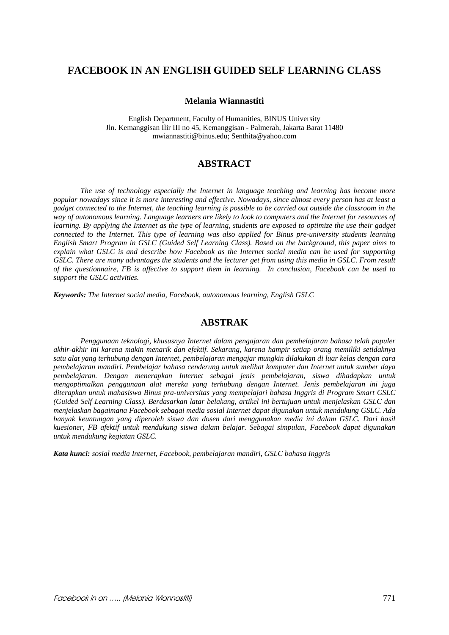# **FACEBOOK IN AN ENGLISH GUIDED SELF LEARNING CLASS**

#### **Melania Wiannastiti**

English Department, Faculty of Humanities, BINUS University Jln. Kemanggisan Ilir III no 45, Kemanggisan - Palmerah, Jakarta Barat 11480 mwiannastiti@binus.edu; Senthita@yahoo.com

## **ABSTRACT**

*The use of technology especially the Internet in language teaching and learning has become more popular nowadays since it is more interesting and effective. Nowadays, since almost every person has at least a gadget connected to the Internet, the teaching learning is possible to be carried out outside the classroom in the way of autonomous learning. Language learners are likely to look to computers and the Internet for resources of learning. By applying the Internet as the type of learning, students are exposed to optimize the use their gadget connected to the Internet. This type of learning was also applied for Binus pre-university students learning English Smart Program in GSLC (Guided Self Learning Class). Based on the background, this paper aims to explain what GSLC is and describe how Facebook as the Internet social media can be used for supporting GSLC. There are many advantages the students and the lecturer get from using this media in GSLC. From result of the questionnaire, FB is affective to support them in learning. In conclusion, Facebook can be used to support the GSLC activities.* 

*Keywords: The Internet social media, Facebook, autonomous learning, English GSLC* 

## **ABSTRAK**

*Penggunaan teknologi, khususnya Internet dalam pengajaran dan pembelajaran bahasa telah populer akhir-akhir ini karena makin menarik dan efektif. Sekarang, karena hampir setiap orang memiliki setidaknya satu alat yang terhubung dengan Internet, pembelajaran mengajar mungkin dilakukan di luar kelas dengan cara pembelajaran mandiri. Pembelajar bahasa cenderung untuk melihat komputer dan Internet untuk sumber daya pembelajaran. Dengan menerapkan Internet sebagai jenis pembelajaran, siswa dihadapkan untuk mengoptimalkan penggunaan alat mereka yang terhubung dengan Internet. Jenis pembelajaran ini juga diterapkan untuk mahasiswa Binus pra-universitas yang mempelajari bahasa Inggris di Program Smart GSLC (Guided Self Learning Class). Berdasarkan latar belakang, artikel ini bertujuan untuk menjelaskan GSLC dan menjelaskan bagaimana Facebook sebagai media sosial Internet dapat digunakan untuk mendukung GSLC. Ada banyak keuntungan yang diperoleh siswa dan dosen dari menggunakan media ini dalam GSLC. Dari hasil kuesioner, FB afektif untuk mendukung siswa dalam belajar. Sebagai simpulan, Facebook dapat digunakan untuk mendukung kegiatan GSLC.* 

*Kata kunci: sosial media Internet, Facebook, pembelajaran mandiri, GSLC bahasa Inggris*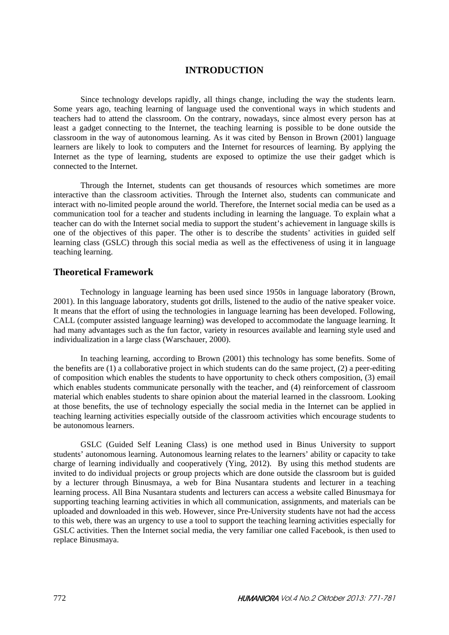## **INTRODUCTION**

Since technology develops rapidly, all things change, including the way the students learn. Some years ago, teaching learning of language used the conventional ways in which students and teachers had to attend the classroom. On the contrary, nowadays, since almost every person has at least a gadget connecting to the Internet, the teaching learning is possible to be done outside the classroom in the way of autonomous learning. As it was cited by Benson in Brown (2001) language learners are likely to look to computers and the Internet for resources of learning. By applying the Internet as the type of learning, students are exposed to optimize the use their gadget which is connected to the Internet.

Through the Internet, students can get thousands of resources which sometimes are more interactive than the classroom activities. Through the Internet also, students can communicate and interact with no-limited people around the world. Therefore, the Internet social media can be used as a communication tool for a teacher and students including in learning the language. To explain what a teacher can do with the Internet social media to support the student's achievement in language skills is one of the objectives of this paper. The other is to describe the students' activities in guided self learning class (GSLC) through this social media as well as the effectiveness of using it in language teaching learning.

### **Theoretical Framework**

Technology in language learning has been used since 1950s in language laboratory (Brown, 2001). In this language laboratory, students got drills, listened to the audio of the native speaker voice. It means that the effort of using the technologies in language learning has been developed. Following, CALL (computer assisted language learning) was developed to accommodate the language learning. It had many advantages such as the fun factor, variety in resources available and learning style used and individualization in a large class (Warschauer, 2000).

In teaching learning, according to Brown (2001) this technology has some benefits. Some of the benefits are (1) a collaborative project in which students can do the same project, (2) a peer-editing of composition which enables the students to have opportunity to check others composition, (3) email which enables students communicate personally with the teacher, and (4) reinforcement of classroom material which enables students to share opinion about the material learned in the classroom. Looking at those benefits, the use of technology especially the social media in the Internet can be applied in teaching learning activities especially outside of the classroom activities which encourage students to be autonomous learners.

GSLC (Guided Self Leaning Class) is one method used in Binus University to support students' autonomous learning. Autonomous learning relates to the learners' ability or capacity to take charge of learning individually and cooperatively (Ying, 2012). By using this method students are invited to do individual projects or group projects which are done outside the classroom but is guided by a lecturer through Binusmaya, a web for Bina Nusantara students and lecturer in a teaching learning process. All Bina Nusantara students and lecturers can access a website called Binusmaya for supporting teaching learning activities in which all communication, assignments, and materials can be uploaded and downloaded in this web. However, since Pre-University students have not had the access to this web, there was an urgency to use a tool to support the teaching learning activities especially for GSLC activities. Then the Internet social media, the very familiar one called Facebook, is then used to replace Binusmaya.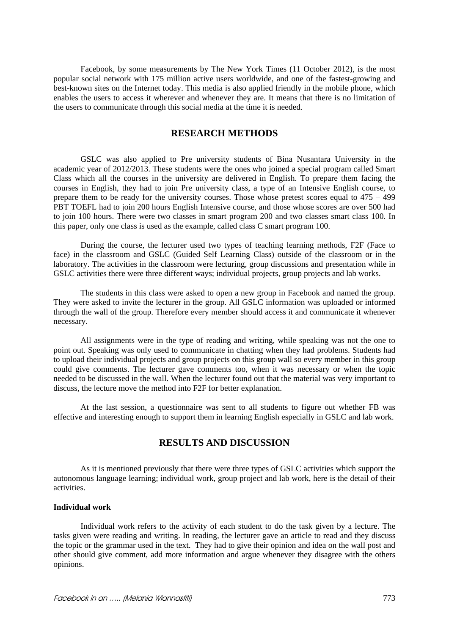Facebook, by some measurements by The New York Times (11 October 2012), is the most popular social network with 175 million active users worldwide, and one of the fastest-growing and best-known sites on the Internet today. This media is also applied friendly in the mobile phone, which enables the users to access it wherever and whenever they are. It means that there is no limitation of the users to communicate through this social media at the time it is needed.

## **RESEARCH METHODS**

GSLC was also applied to Pre university students of Bina Nusantara University in the academic year of 2012/2013. These students were the ones who joined a special program called Smart Class which all the courses in the university are delivered in English. To prepare them facing the courses in English, they had to join Pre university class, a type of an Intensive English course, to prepare them to be ready for the university courses. Those whose pretest scores equal to 475 – 499 PBT TOEFL had to join 200 hours English Intensive course, and those whose scores are over 500 had to join 100 hours. There were two classes in smart program 200 and two classes smart class 100. In this paper, only one class is used as the example, called class C smart program 100.

During the course, the lecturer used two types of teaching learning methods, F2F (Face to face) in the classroom and GSLC (Guided Self Learning Class) outside of the classroom or in the laboratory. The activities in the classroom were lecturing, group discussions and presentation while in GSLC activities there were three different ways; individual projects, group projects and lab works.

The students in this class were asked to open a new group in Facebook and named the group. They were asked to invite the lecturer in the group. All GSLC information was uploaded or informed through the wall of the group. Therefore every member should access it and communicate it whenever necessary.

All assignments were in the type of reading and writing, while speaking was not the one to point out. Speaking was only used to communicate in chatting when they had problems. Students had to upload their individual projects and group projects on this group wall so every member in this group could give comments. The lecturer gave comments too, when it was necessary or when the topic needed to be discussed in the wall. When the lecturer found out that the material was very important to discuss, the lecture move the method into F2F for better explanation.

At the last session, a questionnaire was sent to all students to figure out whether FB was effective and interesting enough to support them in learning English especially in GSLC and lab work.

## **RESULTS AND DISCUSSION**

As it is mentioned previously that there were three types of GSLC activities which support the autonomous language learning; individual work, group project and lab work, here is the detail of their activities.

#### **Individual work**

Individual work refers to the activity of each student to do the task given by a lecture. The tasks given were reading and writing. In reading, the lecturer gave an article to read and they discuss the topic or the grammar used in the text. They had to give their opinion and idea on the wall post and other should give comment, add more information and argue whenever they disagree with the others opinions.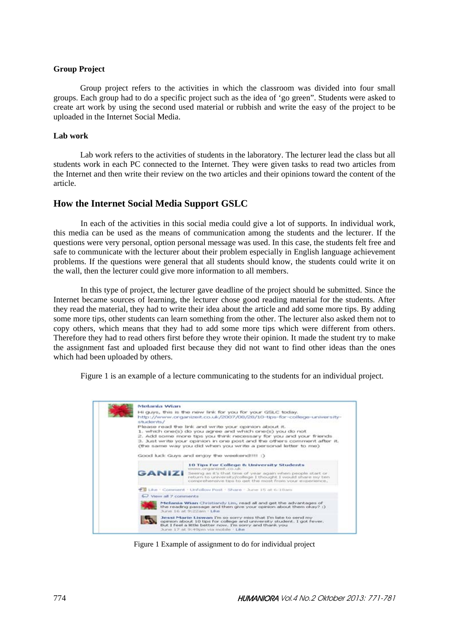### **Group Project**

Group project refers to the activities in which the classroom was divided into four small groups. Each group had to do a specific project such as the idea of 'go green". Students were asked to create art work by using the second used material or rubbish and write the easy of the project to be uploaded in the Internet Social Media.

### **Lab work**

Lab work refers to the activities of students in the laboratory. The lecturer lead the class but all students work in each PC connected to the Internet. They were given tasks to read two articles from the Internet and then write their review on the two articles and their opinions toward the content of the article.

## **How the Internet Social Media Support GSLC**

In each of the activities in this social media could give a lot of supports. In individual work, this media can be used as the means of communication among the students and the lecturer. If the questions were very personal, option personal message was used. In this case, the students felt free and safe to communicate with the lecturer about their problem especially in English language achievement problems. If the questions were general that all students should know, the students could write it on the wall, then the lecturer could give more information to all members.

In this type of project, the lecturer gave deadline of the project should be submitted. Since the Internet became sources of learning, the lecturer chose good reading material for the students. After they read the material, they had to write their idea about the article and add some more tips. By adding some more tips, other students can learn something from the other. The lecturer also asked them not to copy others, which means that they had to add some more tips which were different from others. Therefore they had to read others first before they wrote their opinion. It made the student try to make the assignment fast and uploaded first because they did not want to find other ideas than the ones which had been uploaded by others.

Figure 1 is an example of a lecture communicating to the students for an individual project.



Figure 1 Example of assignment to do for individual project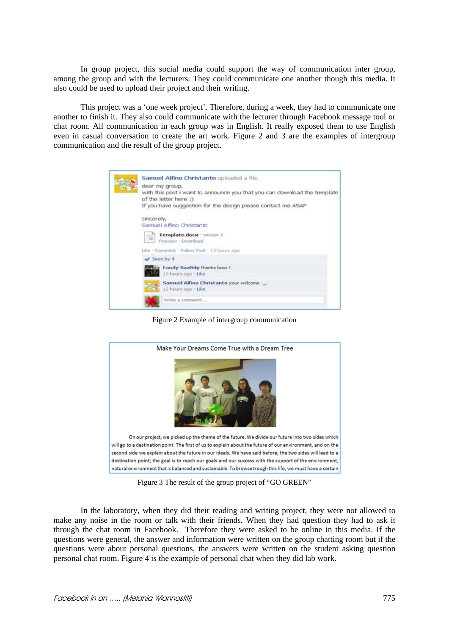In group project, this social media could support the way of communication inter group, among the group and with the lecturers. They could communicate one another though this media. It also could be used to upload their project and their writing.

This project was a 'one week project'. Therefore, during a week, they had to communicate one another to finish it. They also could communicate with the lecturer through Facebook message tool or chat room. All communication in each group was in English. It really exposed them to use English even in casual conversation to create the art work. Figure 2 and 3 are the examples of intergroup communication and the result of the group project.

| Samuel Alfino Christanto uploaded a file.                                                         |  |  |  |  |  |  |  |  |  |  |
|---------------------------------------------------------------------------------------------------|--|--|--|--|--|--|--|--|--|--|
| dear my group,                                                                                    |  |  |  |  |  |  |  |  |  |  |
| with this post i want to announce you that you can download the template<br>of the letter here :) |  |  |  |  |  |  |  |  |  |  |
| If you have suggestion for the design please contact me ASAP                                      |  |  |  |  |  |  |  |  |  |  |
| sincerely,                                                                                        |  |  |  |  |  |  |  |  |  |  |
| Samuel Alfino Christanto                                                                          |  |  |  |  |  |  |  |  |  |  |
| Template.docx - version 1<br>$\equiv$<br>Preview · Download                                       |  |  |  |  |  |  |  |  |  |  |
| Like . Comment . Follow Post . 13 hours ago                                                       |  |  |  |  |  |  |  |  |  |  |
| Seen by 4                                                                                         |  |  |  |  |  |  |  |  |  |  |
| Fandy Suandy thanks boss I<br>13 hours ago . Like                                                 |  |  |  |  |  |  |  |  |  |  |
| Samuel Alfino Christanto your welcome<br>12 hours ago . Like                                      |  |  |  |  |  |  |  |  |  |  |
| Write a comment                                                                                   |  |  |  |  |  |  |  |  |  |  |

Figure 2 Example of intergroup communication



Figure 3 The result of the group project of "GO GREEN"

In the laboratory, when they did their reading and writing project, they were not allowed to make any noise in the room or talk with their friends. When they had question they had to ask it through the chat room in Facebook. Therefore they were asked to be online in this media. If the questions were general, the answer and information were written on the group chatting room but if the questions were about personal questions, the answers were written on the student asking question personal chat room. Figure 4 is the example of personal chat when they did lab work.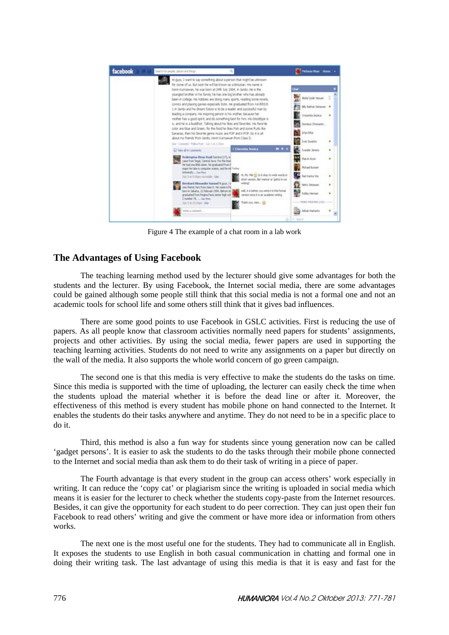

Figure 4 The example of a chat room in a lab work

## **The Advantages of Using Facebook**

The teaching learning method used by the lecturer should give some advantages for both the students and the lecturer. By using Facebook, the Internet social media, there are some advantages could be gained although some people still think that this social media is not a formal one and not an academic tools for school life and some others still think that it gives bad influences.

There are some good points to use Facebook in GSLC activities. First is reducing the use of papers. As all people know that classroom activities normally need papers for students' assignments, projects and other activities. By using the social media, fewer papers are used in supporting the teaching learning activities. Students do not need to write any assignments on a paper but directly on the wall of the media. It also supports the whole world concern of go green campaign.

The second one is that this media is very effective to make the students do the tasks on time. Since this media is supported with the time of uploading, the lecturer can easily check the time when the students upload the material whether it is before the dead line or after it. Moreover, the effectiveness of this method is every student has mobile phone on hand connected to the Internet. It enables the students do their tasks anywhere and anytime. They do not need to be in a specific place to do it.

Third, this method is also a fun way for students since young generation now can be called 'gadget persons'. It is easier to ask the students to do the tasks through their mobile phone connected to the Internet and social media than ask them to do their task of writing in a piece of paper.

The Fourth advantage is that every student in the group can access others' work especially in writing. It can reduce the 'copy cat' or plagiarism since the writing is uploaded in social media which means it is easier for the lecturer to check whether the students copy-paste from the Internet resources. Besides, it can give the opportunity for each student to do peer correction. They can just open their fun Facebook to read others' writing and give the comment or have more idea or information from others works.

The next one is the most useful one for the students. They had to communicate all in English. It exposes the students to use English in both casual communication in chatting and formal one in doing their writing task. The last advantage of using this media is that it is easy and fast for the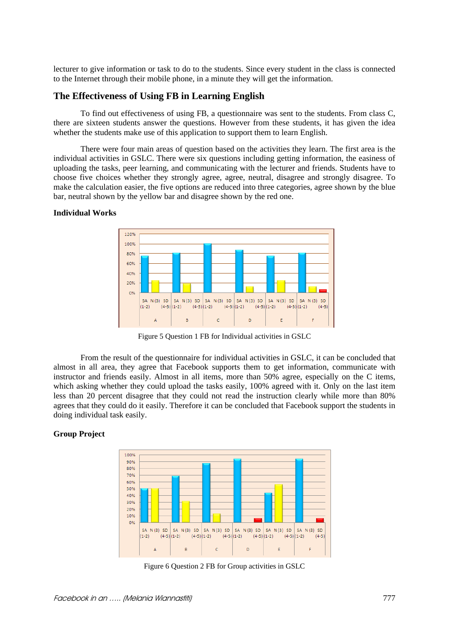lecturer to give information or task to do to the students. Since every student in the class is connected to the Internet through their mobile phone, in a minute they will get the information.

### **The Effectiveness of Using FB in Learning English**

To find out effectiveness of using FB, a questionnaire was sent to the students. From class C, there are sixteen students answer the questions. However from these students, it has given the idea whether the students make use of this application to support them to learn English.

There were four main areas of question based on the activities they learn. The first area is the individual activities in GSLC. There were six questions including getting information, the easiness of uploading the tasks, peer learning, and communicating with the lecturer and friends. Students have to choose five choices whether they strongly agree, agree, neutral, disagree and strongly disagree. To make the calculation easier, the five options are reduced into three categories, agree shown by the blue bar, neutral shown by the yellow bar and disagree shown by the red one.

### **Individual Works**



Figure 5 Question 1 FB for Individual activities in GSLC

From the result of the questionnaire for individual activities in GSLC, it can be concluded that almost in all area, they agree that Facebook supports them to get information, communicate with instructor and friends easily. Almost in all items, more than 50% agree, especially on the C items, which asking whether they could upload the tasks easily, 100% agreed with it. Only on the last item less than 20 percent disagree that they could not read the instruction clearly while more than 80% agrees that they could do it easily. Therefore it can be concluded that Facebook support the students in doing individual task easily.

#### **Group Project**



Figure 6 Question 2 FB for Group activities in GSLC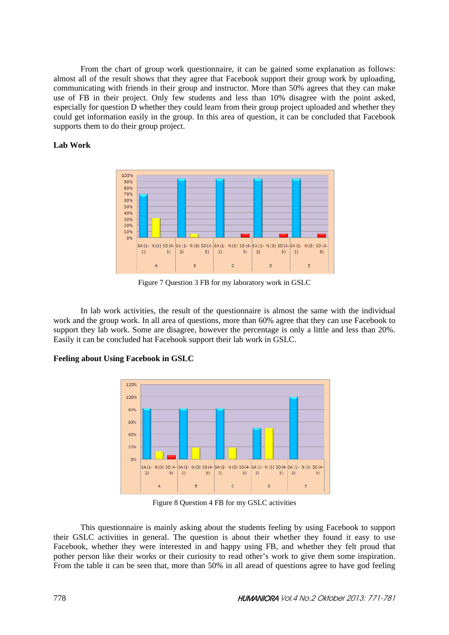From the chart of group work questionnaire, it can be gained some explanation as follows: almost all of the result shows that they agree that Facebook support their group work by uploading, communicating with friends in their group and instructor. More than 50% agrees that they can make use of FB in their project. Only few students and less than 10% disagree with the point asked, especially for question D whether they could learn from their group project uploaded and whether they could get information easily in the group. In this area of question, it can be concluded that Facebook supports them to do their group project.

### **Lab Work**



Figure 7 Question 3 FB for my laboratory work in GSLC

In lab work activities, the result of the questionnaire is almost the same with the individual work and the group work. In all area of questions, more than 60% agree that they can use Facebook to support they lab work. Some are disagree, however the percentage is only a little and less than 20%. Easily it can be concluded hat Facebook support their lab work in GSLC.

### **Feeling about Using Facebook in GSLC**



Figure 8 Question 4 FB for my GSLC activities

This questionnaire is mainly asking about the students feeling by using Facebook to support their GSLC activities in general. The question is about their whether they found it easy to use Facebook, whether they were interested in and happy using FB, and whether they felt proud that pother person like their works or their curiosity to read other's work to give them some inspiration. From the table it can be seen that, more than 50% in all aread of questions agree to have god feeling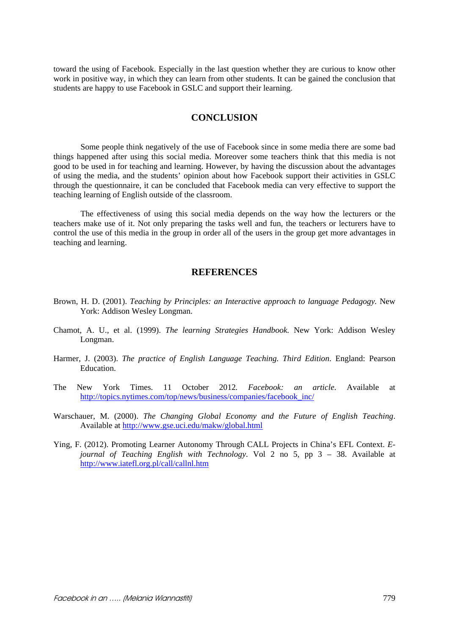toward the using of Facebook. Especially in the last question whether they are curious to know other work in positive way, in which they can learn from other students. It can be gained the conclusion that students are happy to use Facebook in GSLC and support their learning.

## **CONCLUSION**

Some people think negatively of the use of Facebook since in some media there are some bad things happened after using this social media. Moreover some teachers think that this media is not good to be used in for teaching and learning. However, by having the discussion about the advantages of using the media, and the students' opinion about how Facebook support their activities in GSLC through the questionnaire, it can be concluded that Facebook media can very effective to support the teaching learning of English outside of the classroom.

The effectiveness of using this social media depends on the way how the lecturers or the teachers make use of it. Not only preparing the tasks well and fun, the teachers or lecturers have to control the use of this media in the group in order all of the users in the group get more advantages in teaching and learning.

### **REFERENCES**

- Brown, H. D. (2001). *Teaching by Principles: an Interactive approach to language Pedagogy.* New York: Addison Wesley Longman.
- Chamot, A. U., et al. (1999). *The learning Strategies Handbook.* New York: Addison Wesley Longman.
- Harmer, J. (2003). *The practice of English Language Teaching. Third Edition*. England: Pearson Education.
- The New York Times. 11 October 2012*. Facebook: an article*. Available at http://topics.nytimes.com/top/news/business/companies/facebook\_inc/
- Warschauer, M. (2000). *The Changing Global Economy and the Future of English Teaching*. Available at http://www.gse.uci.edu/makw/global.html
- Ying, F. (2012). Promoting Learner Autonomy Through CALL Projects in China's EFL Context. *Ejournal of Teaching English with Technology*. Vol 2 no 5, pp 3 – 38. Available at http://www.iatefl.org.pl/call/callnl.htm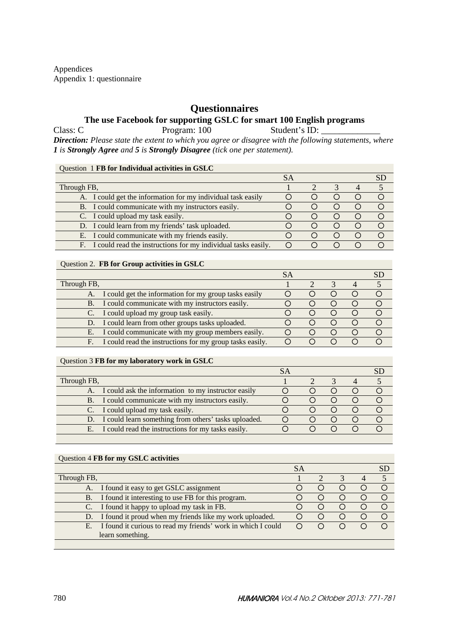Appendices Appendix 1: questionnaire

# **Questionnaires**

## **The use Facebook for supporting GSLC for smart 100 English programs**

Class: C Program: 100 Student's ID: *Direction: Please state the extent to which you agree or disagree with the following statements, where 1 is Strongly Agree and 5 is Strongly Disagree (tick one per statement).* 

### Question 1 **FB for Individual activities in GSLC**

| Through FB,                                                      |  |                        |  |
|------------------------------------------------------------------|--|------------------------|--|
| A. I could get the information for my individual task easily     |  | $\left( \quad \right)$ |  |
| B. I could communicate with my instructors easily.               |  |                        |  |
| C. I could upload my task easily.                                |  |                        |  |
| D. I could learn from my friends' task uploaded.                 |  | $\left( \quad \right)$ |  |
| E. I could communicate with my friends easily.                   |  |                        |  |
| F. I could read the instructions for my individual tasks easily. |  |                        |  |

### Question 2. **FB for Group activities in GSLC**

| Through FB,                                                    |  |                        |  |
|----------------------------------------------------------------|--|------------------------|--|
| A. I could get the information for my group tasks easily       |  |                        |  |
| B. I could communicate with my instructors easily.             |  |                        |  |
| I could upload my group task easily.                           |  | $\left( \quad \right)$ |  |
| D. I could learn from other groups tasks uploaded.             |  |                        |  |
| I could communicate with my group members easily.<br>Е.        |  |                        |  |
| I could read the instructions for my group tasks easily.<br>F. |  |                        |  |

#### Question 3 **FB for my laboratory work in GSLC**

| Through FB, |                                                         |  |  |  |
|-------------|---------------------------------------------------------|--|--|--|
|             | A. I could ask the information to my instructor easily  |  |  |  |
|             | B. I could communicate with my instructors easily.      |  |  |  |
|             | C. I could upload my task easily.                       |  |  |  |
|             | D. I could learn something from others' tasks uploaded. |  |  |  |
|             | E. I could read the instructions for my tasks easily.   |  |  |  |

### Question 4 **FB for my GSLC activities**

|                                                                 | SА |        |                  | SD.       |
|-----------------------------------------------------------------|----|--------|------------------|-----------|
| Through FB,                                                     |    |        |                  |           |
| A. I found it easy to get GSLC assignment                       |    | $\Box$ | $\left( \right)$ |           |
| B. I found it interesting to use FB for this program.           |    |        |                  |           |
| C. I found it happy to upload my task in FB.                    |    |        |                  |           |
| D. I found it proud when my friends like my work uploaded.      |    | $\Box$ | $\left( \right)$ | $\subset$ |
| E. I found it curious to read my friends' work in which I could |    |        |                  | $\cap$    |
| learn something.                                                |    |        |                  |           |
|                                                                 |    |        |                  |           |